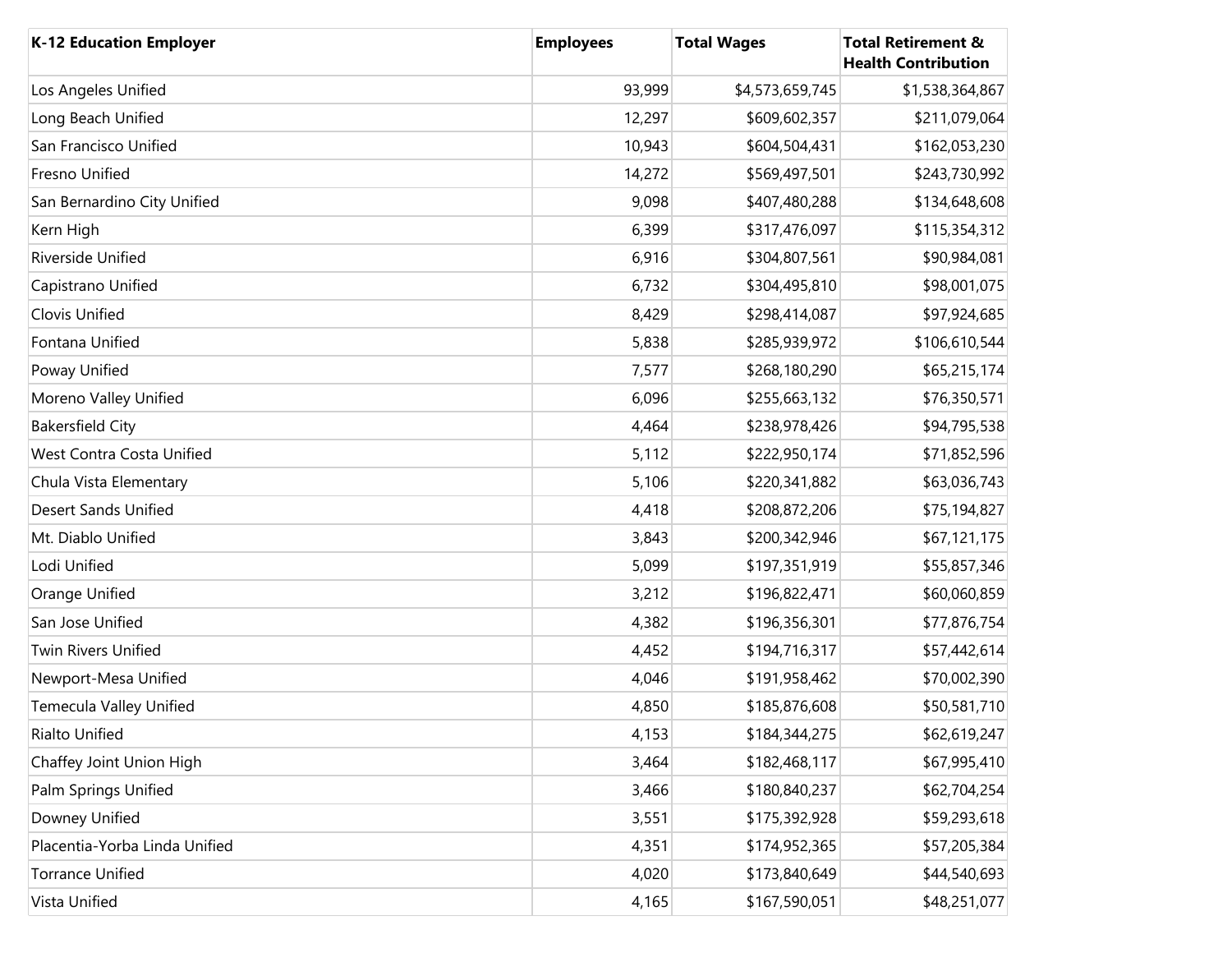| <b>K-12 Education Employer</b> | <b>Employees</b> | <b>Total Wages</b> | <b>Total Retirement &amp;</b><br><b>Health Contribution</b> |
|--------------------------------|------------------|--------------------|-------------------------------------------------------------|
| Los Angeles Unified            | 93,999           | \$4,573,659,745    | \$1,538,364,867                                             |
| Long Beach Unified             | 12,297           | \$609,602,357      | \$211,079,064                                               |
| San Francisco Unified          | 10,943           | \$604,504,431      | \$162,053,230                                               |
| Fresno Unified                 | 14,272           | \$569,497,501      | \$243,730,992                                               |
| San Bernardino City Unified    | 9,098            | \$407,480,288      | \$134,648,608                                               |
| Kern High                      | 6,399            | \$317,476,097      | \$115,354,312                                               |
| Riverside Unified              | 6,916            | \$304,807,561      | \$90,984,081                                                |
| Capistrano Unified             | 6,732            | \$304,495,810      | \$98,001,075                                                |
| Clovis Unified                 | 8,429            | \$298,414,087      | \$97,924,685                                                |
| Fontana Unified                | 5,838            | \$285,939,972      | \$106,610,544                                               |
| Poway Unified                  | 7,577            | \$268,180,290      | \$65,215,174                                                |
| Moreno Valley Unified          | 6,096            | \$255,663,132      | \$76,350,571                                                |
| <b>Bakersfield City</b>        | 4,464            | \$238,978,426      | \$94,795,538                                                |
| West Contra Costa Unified      | 5,112            | \$222,950,174      | \$71,852,596                                                |
| Chula Vista Elementary         | 5,106            | \$220,341,882      | \$63,036,743                                                |
| <b>Desert Sands Unified</b>    | 4,418            | \$208,872,206      | \$75,194,827                                                |
| Mt. Diablo Unified             | 3,843            | \$200,342,946      | \$67,121,175                                                |
| Lodi Unified                   | 5,099            | \$197,351,919      | \$55,857,346                                                |
| Orange Unified                 | 3,212            | \$196,822,471      | \$60,060,859                                                |
| San Jose Unified               | 4,382            | \$196,356,301      | \$77,876,754                                                |
| <b>Twin Rivers Unified</b>     | 4,452            | \$194,716,317      | \$57,442,614                                                |
| Newport-Mesa Unified           | 4,046            | \$191,958,462      | \$70,002,390                                                |
| Temecula Valley Unified        | 4,850            | \$185,876,608      | \$50,581,710                                                |
| <b>Rialto Unified</b>          | 4,153            | \$184,344,275      | \$62,619,247                                                |
| Chaffey Joint Union High       | 3,464            | \$182,468,117      | \$67,995,410                                                |
| Palm Springs Unified           | 3,466            | \$180,840,237      | \$62,704,254                                                |
| Downey Unified                 | 3,551            | \$175,392,928      | \$59,293,618                                                |
| Placentia-Yorba Linda Unified  | 4,351            | \$174,952,365      | \$57,205,384                                                |
| <b>Torrance Unified</b>        | 4,020            | \$173,840,649      | \$44,540,693                                                |
| Vista Unified                  | 4,165            | \$167,590,051      | \$48,251,077                                                |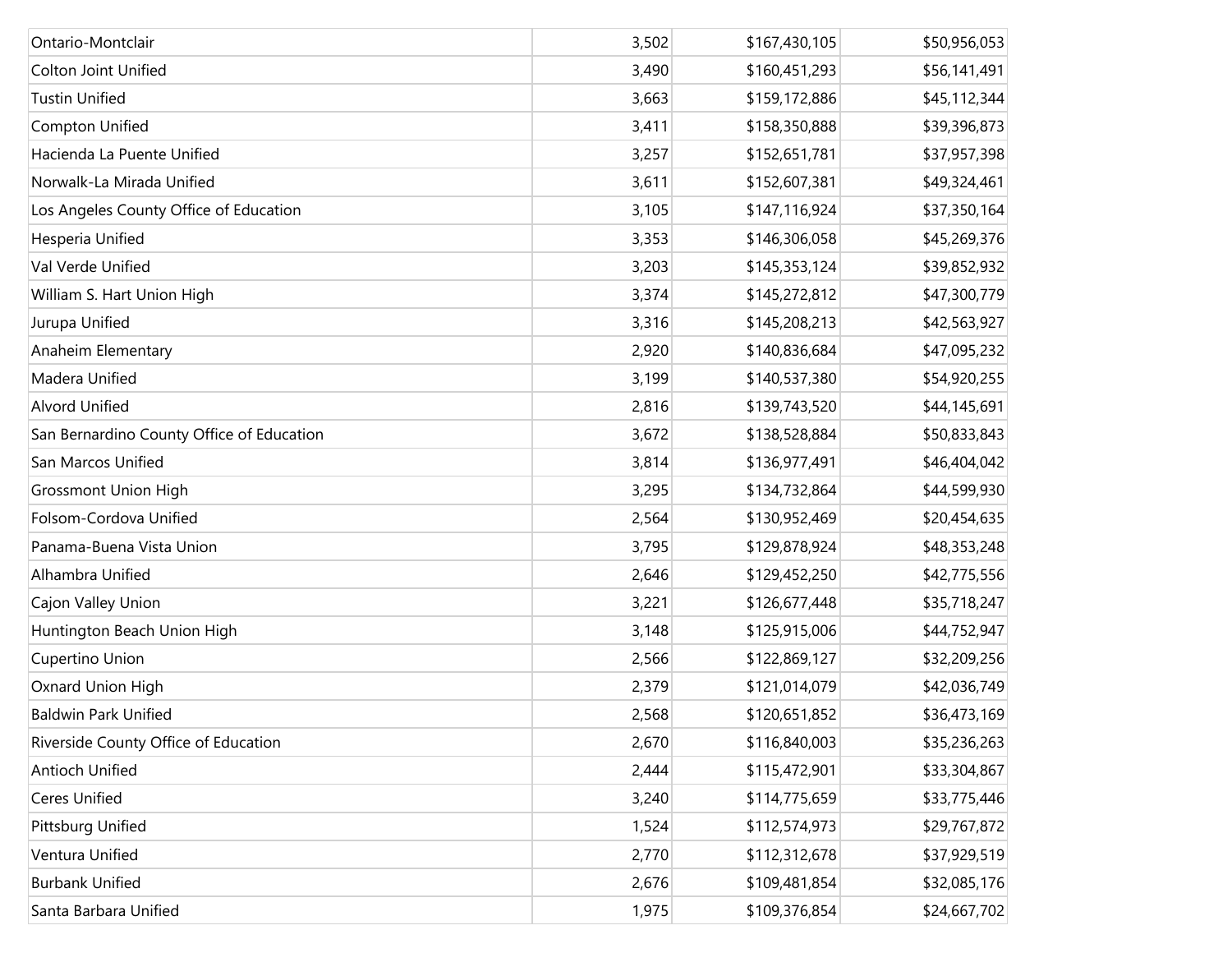| Ontario-Montclair                         | 3,502 | \$167,430,105 | \$50,956,053 |
|-------------------------------------------|-------|---------------|--------------|
| <b>Colton Joint Unified</b>               | 3,490 | \$160,451,293 | \$56,141,491 |
| <b>Tustin Unified</b>                     | 3,663 | \$159,172,886 | \$45,112,344 |
| Compton Unified                           | 3,411 | \$158,350,888 | \$39,396,873 |
| Hacienda La Puente Unified                | 3,257 | \$152,651,781 | \$37,957,398 |
| Norwalk-La Mirada Unified                 | 3,611 | \$152,607,381 | \$49,324,461 |
| Los Angeles County Office of Education    | 3,105 | \$147,116,924 | \$37,350,164 |
| Hesperia Unified                          | 3,353 | \$146,306,058 | \$45,269,376 |
| Val Verde Unified                         | 3,203 | \$145,353,124 | \$39,852,932 |
| William S. Hart Union High                | 3,374 | \$145,272,812 | \$47,300,779 |
| Jurupa Unified                            | 3,316 | \$145,208,213 | \$42,563,927 |
| Anaheim Elementary                        | 2,920 | \$140,836,684 | \$47,095,232 |
| Madera Unified                            | 3,199 | \$140,537,380 | \$54,920,255 |
| <b>Alvord Unified</b>                     | 2,816 | \$139,743,520 | \$44,145,691 |
| San Bernardino County Office of Education | 3,672 | \$138,528,884 | \$50,833,843 |
| San Marcos Unified                        | 3,814 | \$136,977,491 | \$46,404,042 |
| <b>Grossmont Union High</b>               | 3,295 | \$134,732,864 | \$44,599,930 |
| Folsom-Cordova Unified                    | 2,564 | \$130,952,469 | \$20,454,635 |
| Panama-Buena Vista Union                  | 3,795 | \$129,878,924 | \$48,353,248 |
| Alhambra Unified                          | 2,646 | \$129,452,250 | \$42,775,556 |
| Cajon Valley Union                        | 3,221 | \$126,677,448 | \$35,718,247 |
| Huntington Beach Union High               | 3,148 | \$125,915,006 | \$44,752,947 |
| Cupertino Union                           | 2,566 | \$122,869,127 | \$32,209,256 |
| Oxnard Union High                         | 2,379 | \$121,014,079 | \$42,036,749 |
| <b>Baldwin Park Unified</b>               | 2,568 | \$120,651,852 | \$36,473,169 |
| Riverside County Office of Education      | 2,670 | \$116,840,003 | \$35,236,263 |
| <b>Antioch Unified</b>                    | 2,444 | \$115,472,901 | \$33,304,867 |
| <b>Ceres Unified</b>                      | 3,240 | \$114,775,659 | \$33,775,446 |
| Pittsburg Unified                         | 1,524 | \$112,574,973 | \$29,767,872 |
| Ventura Unified                           | 2,770 | \$112,312,678 | \$37,929,519 |
| <b>Burbank Unified</b>                    | 2,676 | \$109,481,854 | \$32,085,176 |
| Santa Barbara Unified                     | 1,975 | \$109,376,854 | \$24,667,702 |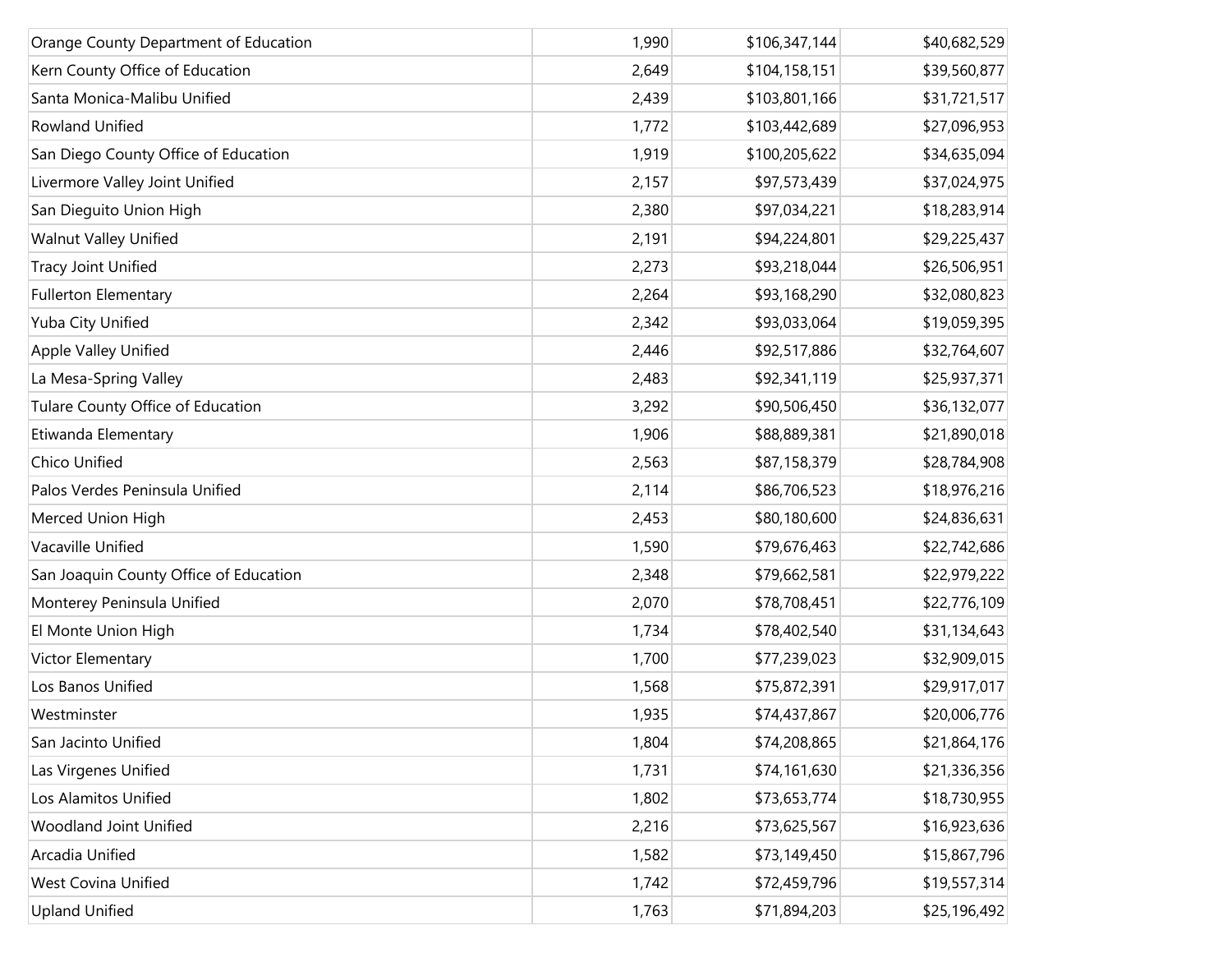| Orange County Department of Education  | 1,990 | \$106,347,144 | \$40,682,529 |
|----------------------------------------|-------|---------------|--------------|
| Kern County Office of Education        | 2,649 | \$104,158,151 | \$39,560,877 |
| Santa Monica-Malibu Unified            | 2,439 | \$103,801,166 | \$31,721,517 |
| <b>Rowland Unified</b>                 | 1,772 | \$103,442,689 | \$27,096,953 |
| San Diego County Office of Education   | 1,919 | \$100,205,622 | \$34,635,094 |
| Livermore Valley Joint Unified         | 2,157 | \$97,573,439  | \$37,024,975 |
| San Dieguito Union High                | 2,380 | \$97,034,221  | \$18,283,914 |
| <b>Walnut Valley Unified</b>           | 2,191 | \$94,224,801  | \$29,225,437 |
| Tracy Joint Unified                    | 2,273 | \$93,218,044  | \$26,506,951 |
| <b>Fullerton Elementary</b>            | 2,264 | \$93,168,290  | \$32,080,823 |
| Yuba City Unified                      | 2,342 | \$93,033,064  | \$19,059,395 |
| Apple Valley Unified                   | 2,446 | \$92,517,886  | \$32,764,607 |
| La Mesa-Spring Valley                  | 2,483 | \$92,341,119  | \$25,937,371 |
| Tulare County Office of Education      | 3,292 | \$90,506,450  | \$36,132,077 |
| Etiwanda Elementary                    | 1,906 | \$88,889,381  | \$21,890,018 |
| Chico Unified                          | 2,563 | \$87,158,379  | \$28,784,908 |
| Palos Verdes Peninsula Unified         | 2,114 | \$86,706,523  | \$18,976,216 |
| Merced Union High                      | 2,453 | \$80,180,600  | \$24,836,631 |
| Vacaville Unified                      | 1,590 | \$79,676,463  | \$22,742,686 |
| San Joaquin County Office of Education | 2,348 | \$79,662,581  | \$22,979,222 |
| Monterey Peninsula Unified             | 2,070 | \$78,708,451  | \$22,776,109 |
| El Monte Union High                    | 1,734 | \$78,402,540  | \$31,134,643 |
| Victor Elementary                      | 1,700 | \$77,239,023  | \$32,909,015 |
| Los Banos Unified                      | 1,568 | \$75,872,391  | \$29,917,017 |
| Westminster                            | 1,935 | \$74,437,867  | \$20,006,776 |
| San Jacinto Unified                    | 1,804 | \$74,208,865  | \$21,864,176 |
| Las Virgenes Unified                   | 1,731 | \$74,161,630  | \$21,336,356 |
| Los Alamitos Unified                   | 1,802 | \$73,653,774  | \$18,730,955 |
| Woodland Joint Unified                 | 2,216 | \$73,625,567  | \$16,923,636 |
| Arcadia Unified                        | 1,582 | \$73,149,450  | \$15,867,796 |
| West Covina Unified                    | 1,742 | \$72,459,796  | \$19,557,314 |
| <b>Upland Unified</b>                  | 1,763 | \$71,894,203  | \$25,196,492 |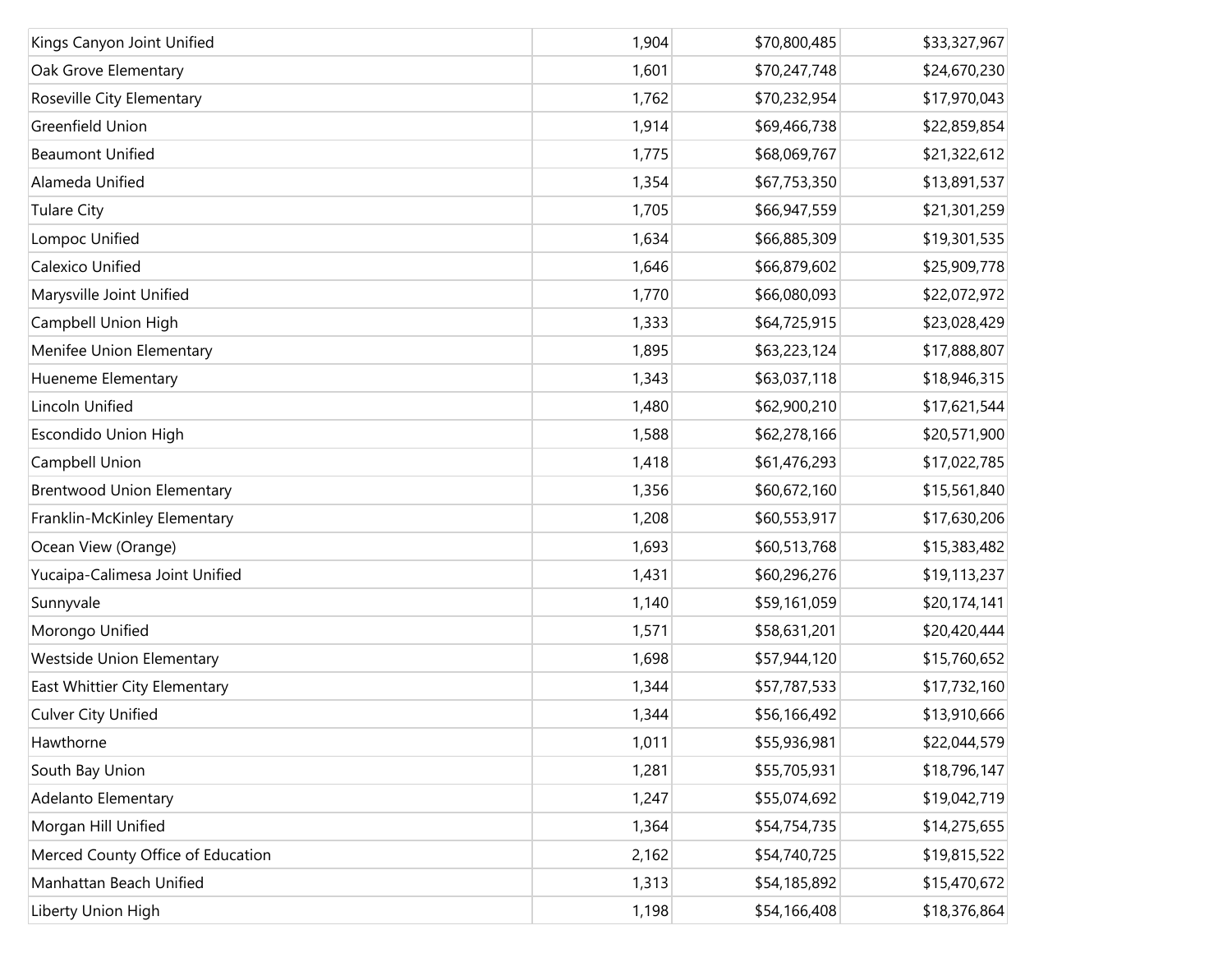| Kings Canyon Joint Unified        | 1,904 | \$70,800,485 | \$33,327,967 |
|-----------------------------------|-------|--------------|--------------|
| Oak Grove Elementary              | 1,601 | \$70,247,748 | \$24,670,230 |
| Roseville City Elementary         | 1,762 | \$70,232,954 | \$17,970,043 |
| Greenfield Union                  | 1,914 | \$69,466,738 | \$22,859,854 |
| <b>Beaumont Unified</b>           | 1,775 | \$68,069,767 | \$21,322,612 |
| Alameda Unified                   | 1,354 | \$67,753,350 | \$13,891,537 |
| <b>Tulare City</b>                | 1,705 | \$66,947,559 | \$21,301,259 |
| Lompoc Unified                    | 1,634 | \$66,885,309 | \$19,301,535 |
| Calexico Unified                  | 1,646 | \$66,879,602 | \$25,909,778 |
| Marysville Joint Unified          | 1,770 | \$66,080,093 | \$22,072,972 |
| Campbell Union High               | 1,333 | \$64,725,915 | \$23,028,429 |
| Menifee Union Elementary          | 1,895 | \$63,223,124 | \$17,888,807 |
| Hueneme Elementary                | 1,343 | \$63,037,118 | \$18,946,315 |
| Lincoln Unified                   | 1,480 | \$62,900,210 | \$17,621,544 |
| <b>Escondido Union High</b>       | 1,588 | \$62,278,166 | \$20,571,900 |
| Campbell Union                    | 1,418 | \$61,476,293 | \$17,022,785 |
| <b>Brentwood Union Elementary</b> | 1,356 | \$60,672,160 | \$15,561,840 |
| Franklin-McKinley Elementary      | 1,208 | \$60,553,917 | \$17,630,206 |
| Ocean View (Orange)               | 1,693 | \$60,513,768 | \$15,383,482 |
| Yucaipa-Calimesa Joint Unified    | 1,431 | \$60,296,276 | \$19,113,237 |
| Sunnyvale                         | 1,140 | \$59,161,059 | \$20,174,141 |
| Morongo Unified                   | 1,571 | \$58,631,201 | \$20,420,444 |
| <b>Westside Union Elementary</b>  | 1,698 | \$57,944,120 | \$15,760,652 |
| East Whittier City Elementary     | 1,344 | \$57,787,533 | \$17,732,160 |
| <b>Culver City Unified</b>        | 1,344 | \$56,166,492 | \$13,910,666 |
| Hawthorne                         | 1,011 | \$55,936,981 | \$22,044,579 |
| South Bay Union                   | 1,281 | \$55,705,931 | \$18,796,147 |
| Adelanto Elementary               | 1,247 | \$55,074,692 | \$19,042,719 |
| Morgan Hill Unified               | 1,364 | \$54,754,735 | \$14,275,655 |
| Merced County Office of Education | 2,162 | \$54,740,725 | \$19,815,522 |
| Manhattan Beach Unified           | 1,313 | \$54,185,892 | \$15,470,672 |
| Liberty Union High                | 1,198 | \$54,166,408 | \$18,376,864 |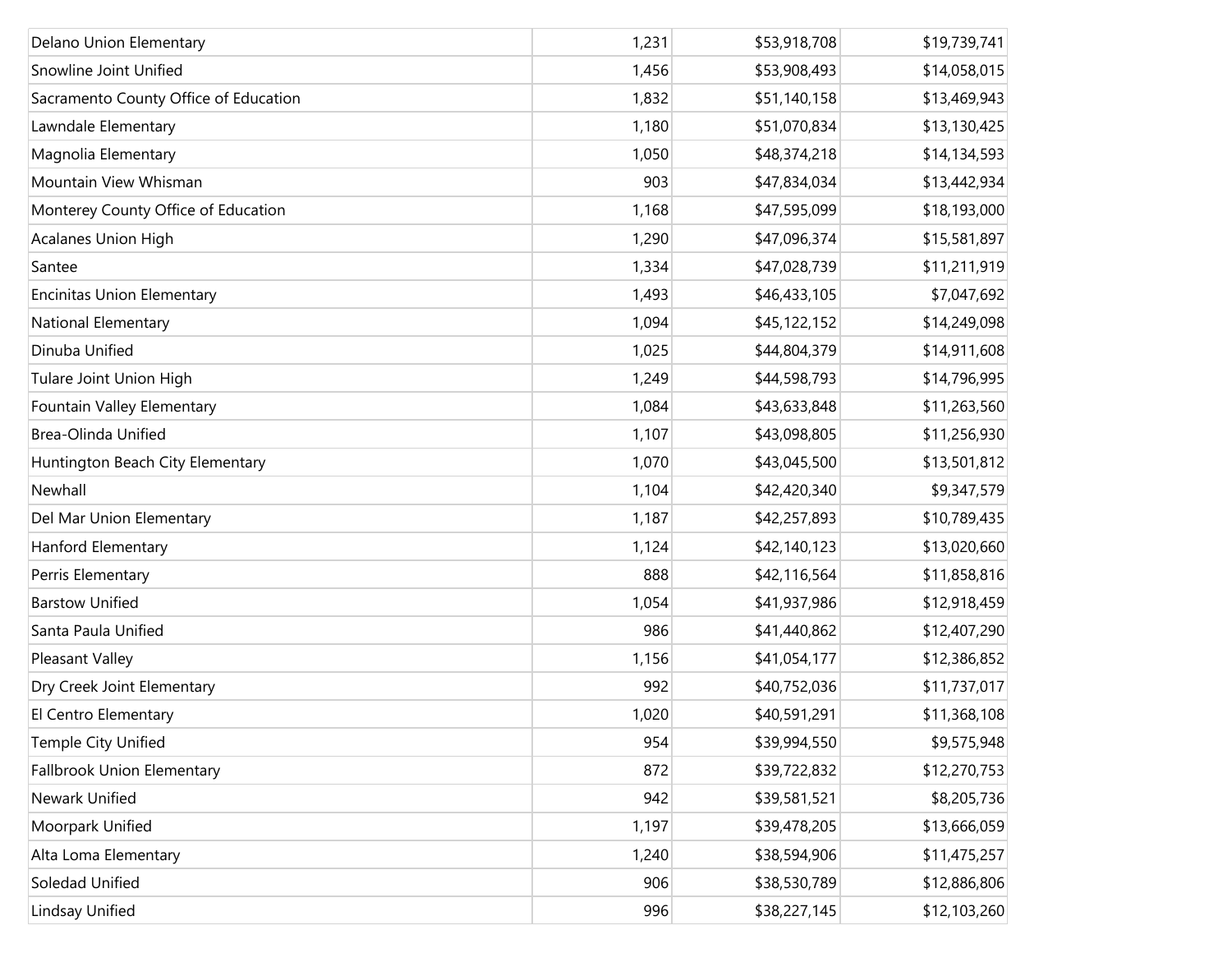| Delano Union Elementary               | 1,231 | \$53,918,708 | \$19,739,741 |
|---------------------------------------|-------|--------------|--------------|
| Snowline Joint Unified                | 1,456 | \$53,908,493 | \$14,058,015 |
| Sacramento County Office of Education | 1,832 | \$51,140,158 | \$13,469,943 |
| Lawndale Elementary                   | 1,180 | \$51,070,834 | \$13,130,425 |
| Magnolia Elementary                   | 1,050 | \$48,374,218 | \$14,134,593 |
| Mountain View Whisman                 | 903   | \$47,834,034 | \$13,442,934 |
| Monterey County Office of Education   | 1,168 | \$47,595,099 | \$18,193,000 |
| Acalanes Union High                   | 1,290 | \$47,096,374 | \$15,581,897 |
| Santee                                | 1,334 | \$47,028,739 | \$11,211,919 |
| <b>Encinitas Union Elementary</b>     | 1,493 | \$46,433,105 | \$7,047,692  |
| National Elementary                   | 1,094 | \$45,122,152 | \$14,249,098 |
| Dinuba Unified                        | 1,025 | \$44,804,379 | \$14,911,608 |
| Tulare Joint Union High               | 1,249 | \$44,598,793 | \$14,796,995 |
| Fountain Valley Elementary            | 1,084 | \$43,633,848 | \$11,263,560 |
| Brea-Olinda Unified                   | 1,107 | \$43,098,805 | \$11,256,930 |
| Huntington Beach City Elementary      | 1,070 | \$43,045,500 | \$13,501,812 |
| Newhall                               | 1,104 | \$42,420,340 | \$9,347,579  |
| Del Mar Union Elementary              | 1,187 | \$42,257,893 | \$10,789,435 |
| Hanford Elementary                    | 1,124 | \$42,140,123 | \$13,020,660 |
| Perris Elementary                     | 888   | \$42,116,564 | \$11,858,816 |
| <b>Barstow Unified</b>                | 1,054 | \$41,937,986 | \$12,918,459 |
| Santa Paula Unified                   | 986   | \$41,440,862 | \$12,407,290 |
| Pleasant Valley                       | 1,156 | \$41,054,177 | \$12,386,852 |
| Dry Creek Joint Elementary            | 992   | \$40,752,036 | \$11,737,017 |
| El Centro Elementary                  | 1,020 | \$40,591,291 | \$11,368,108 |
| Temple City Unified                   | 954   | \$39,994,550 | \$9,575,948  |
| <b>Fallbrook Union Elementary</b>     | 872   | \$39,722,832 | \$12,270,753 |
| Newark Unified                        | 942   | \$39,581,521 | \$8,205,736  |
| Moorpark Unified                      | 1,197 | \$39,478,205 | \$13,666,059 |
| Alta Loma Elementary                  | 1,240 | \$38,594,906 | \$11,475,257 |
| Soledad Unified                       | 906   | \$38,530,789 | \$12,886,806 |
| Lindsay Unified                       | 996   | \$38,227,145 | \$12,103,260 |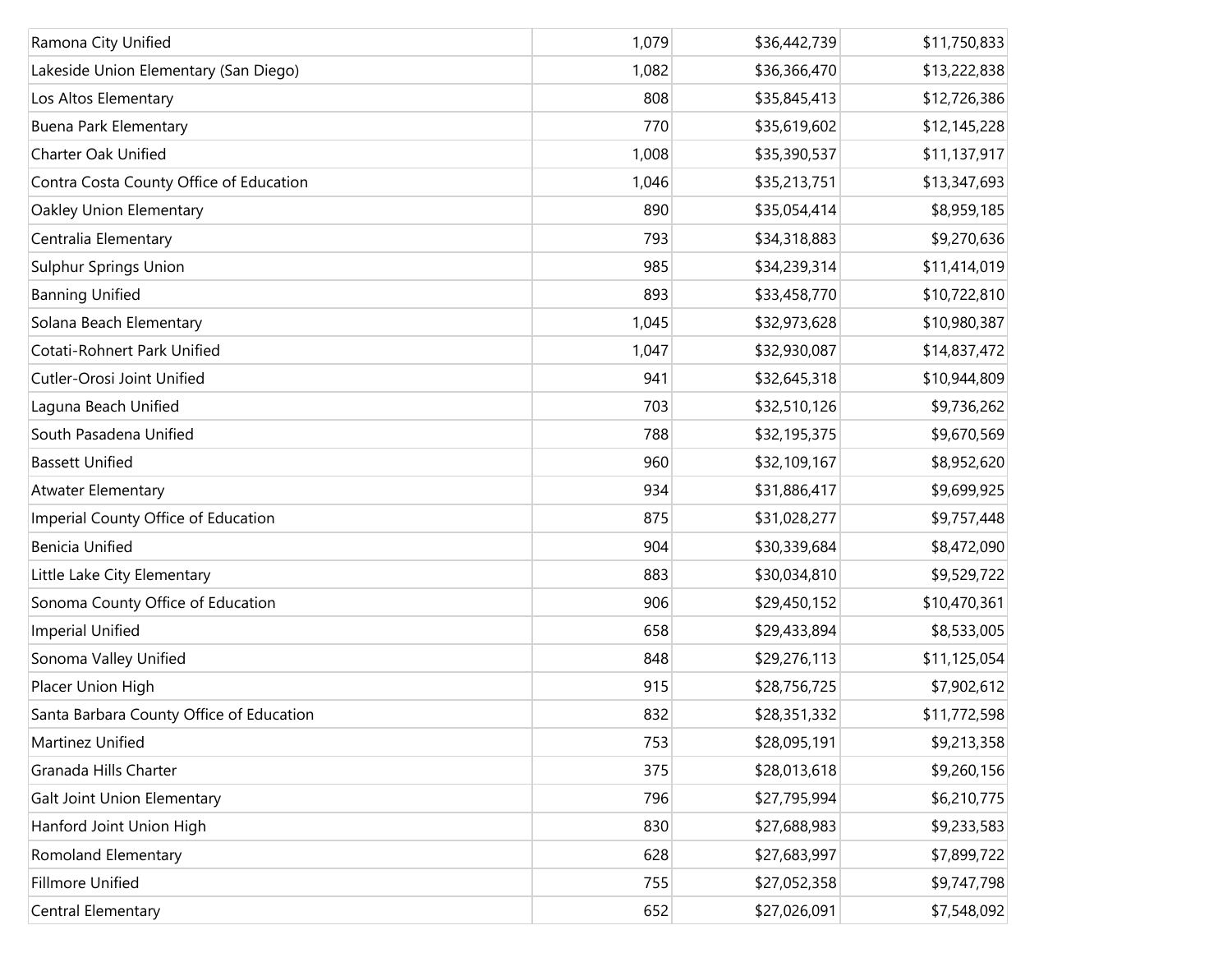| Ramona City Unified                      | 1,079 | \$36,442,739 | \$11,750,833 |
|------------------------------------------|-------|--------------|--------------|
| Lakeside Union Elementary (San Diego)    | 1,082 | \$36,366,470 | \$13,222,838 |
| Los Altos Elementary                     | 808   | \$35,845,413 | \$12,726,386 |
| <b>Buena Park Elementary</b>             | 770   | \$35,619,602 | \$12,145,228 |
| <b>Charter Oak Unified</b>               | 1,008 | \$35,390,537 | \$11,137,917 |
| Contra Costa County Office of Education  | 1,046 | \$35,213,751 | \$13,347,693 |
| Oakley Union Elementary                  | 890   | \$35,054,414 | \$8,959,185  |
| Centralia Elementary                     | 793   | \$34,318,883 | \$9,270,636  |
| <b>Sulphur Springs Union</b>             | 985   | \$34,239,314 | \$11,414,019 |
| <b>Banning Unified</b>                   | 893   | \$33,458,770 | \$10,722,810 |
| Solana Beach Elementary                  | 1,045 | \$32,973,628 | \$10,980,387 |
| Cotati-Rohnert Park Unified              | 1,047 | \$32,930,087 | \$14,837,472 |
| Cutler-Orosi Joint Unified               | 941   | \$32,645,318 | \$10,944,809 |
| Laguna Beach Unified                     | 703   | \$32,510,126 | \$9,736,262  |
| South Pasadena Unified                   | 788   | \$32,195,375 | \$9,670,569  |
| <b>Bassett Unified</b>                   | 960   | \$32,109,167 | \$8,952,620  |
| <b>Atwater Elementary</b>                | 934   | \$31,886,417 | \$9,699,925  |
| Imperial County Office of Education      | 875   | \$31,028,277 | \$9,757,448  |
| <b>Benicia Unified</b>                   | 904   | \$30,339,684 | \$8,472,090  |
| Little Lake City Elementary              | 883   | \$30,034,810 | \$9,529,722  |
| Sonoma County Office of Education        | 906   | \$29,450,152 | \$10,470,361 |
| <b>Imperial Unified</b>                  | 658   | \$29,433,894 | \$8,533,005  |
| Sonoma Valley Unified                    | 848   | \$29,276,113 | \$11,125,054 |
| Placer Union High                        | 915   | \$28,756,725 | \$7,902,612  |
| Santa Barbara County Office of Education | 832   | \$28,351,332 | \$11,772,598 |
| Martinez Unified                         | 753   | \$28,095,191 | \$9,213,358  |
| Granada Hills Charter                    | 375   | \$28,013,618 | \$9,260,156  |
| <b>Galt Joint Union Elementary</b>       | 796   | \$27,795,994 | \$6,210,775  |
| Hanford Joint Union High                 | 830   | \$27,688,983 | \$9,233,583  |
| Romoland Elementary                      | 628   | \$27,683,997 | \$7,899,722  |
| Fillmore Unified                         | 755   | \$27,052,358 | \$9,747,798  |
| Central Elementary                       | 652   | \$27,026,091 | \$7,548,092  |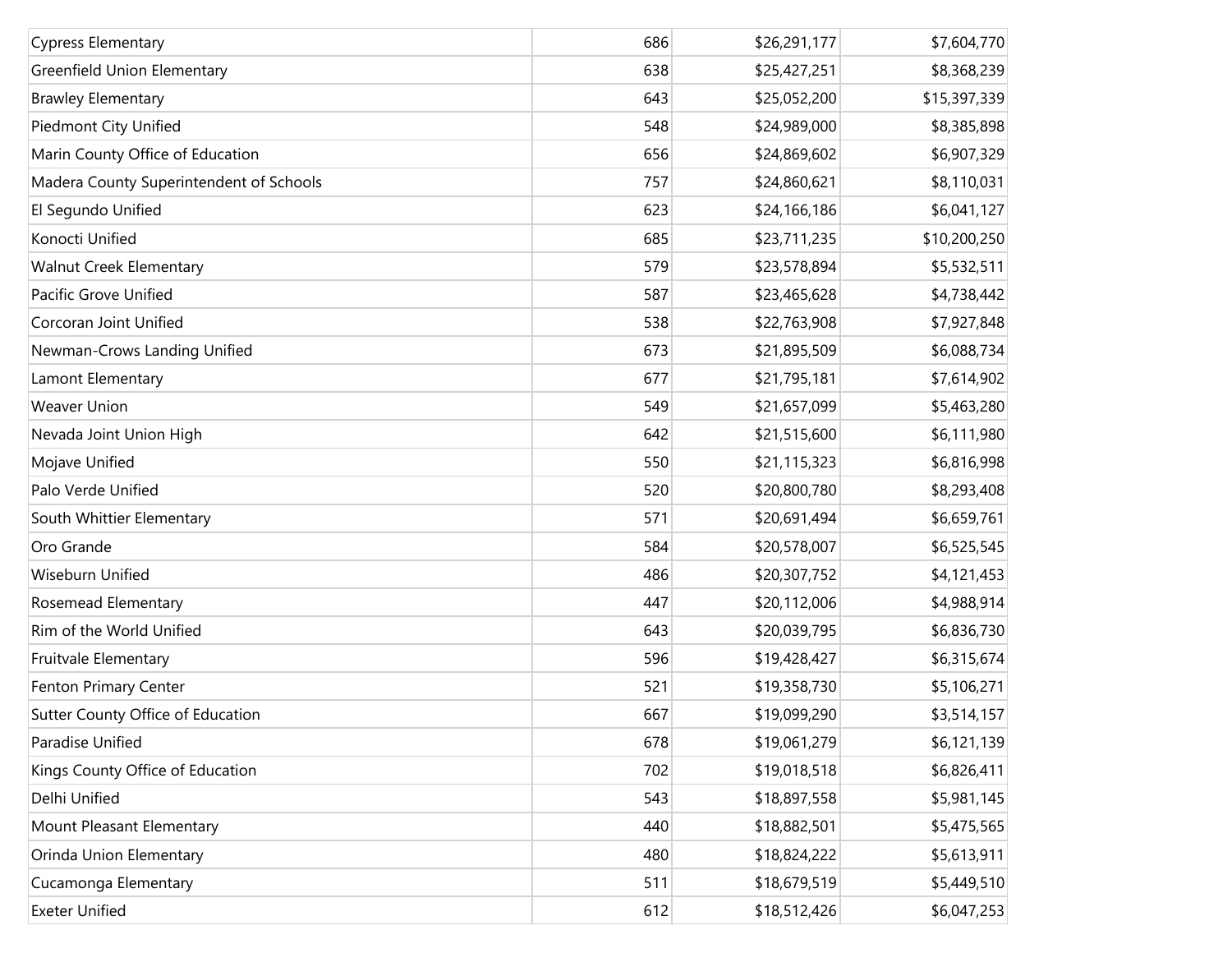| <b>Cypress Elementary</b>               | 686 | \$26,291,177 | \$7,604,770  |
|-----------------------------------------|-----|--------------|--------------|
| Greenfield Union Elementary             | 638 | \$25,427,251 | \$8,368,239  |
| <b>Brawley Elementary</b>               | 643 | \$25,052,200 | \$15,397,339 |
| Piedmont City Unified                   | 548 | \$24,989,000 | \$8,385,898  |
| Marin County Office of Education        | 656 | \$24,869,602 | \$6,907,329  |
| Madera County Superintendent of Schools | 757 | \$24,860,621 | \$8,110,031  |
| El Segundo Unified                      | 623 | \$24,166,186 | \$6,041,127  |
| Konocti Unified                         | 685 | \$23,711,235 | \$10,200,250 |
| Walnut Creek Elementary                 | 579 | \$23,578,894 | \$5,532,511  |
| Pacific Grove Unified                   | 587 | \$23,465,628 | \$4,738,442  |
| Corcoran Joint Unified                  | 538 | \$22,763,908 | \$7,927,848  |
| Newman-Crows Landing Unified            | 673 | \$21,895,509 | \$6,088,734  |
| Lamont Elementary                       | 677 | \$21,795,181 | \$7,614,902  |
| <b>Weaver Union</b>                     | 549 | \$21,657,099 | \$5,463,280  |
| Nevada Joint Union High                 | 642 | \$21,515,600 | \$6,111,980  |
| Mojave Unified                          | 550 | \$21,115,323 | \$6,816,998  |
| Palo Verde Unified                      | 520 | \$20,800,780 | \$8,293,408  |
| South Whittier Elementary               | 571 | \$20,691,494 | \$6,659,761  |
| Oro Grande                              | 584 | \$20,578,007 | \$6,525,545  |
| Wiseburn Unified                        | 486 | \$20,307,752 | \$4,121,453  |
| Rosemead Elementary                     | 447 | \$20,112,006 | \$4,988,914  |
| Rim of the World Unified                | 643 | \$20,039,795 | \$6,836,730  |
| Fruitvale Elementary                    | 596 | \$19,428,427 | \$6,315,674  |
| Fenton Primary Center                   | 521 | \$19,358,730 | \$5,106,271  |
| Sutter County Office of Education       | 667 | \$19,099,290 | \$3,514,157  |
| Paradise Unified                        | 678 | \$19,061,279 | \$6,121,139  |
| Kings County Office of Education        | 702 | \$19,018,518 | \$6,826,411  |
| Delhi Unified                           | 543 | \$18,897,558 | \$5,981,145  |
| Mount Pleasant Elementary               | 440 | \$18,882,501 | \$5,475,565  |
| Orinda Union Elementary                 | 480 | \$18,824,222 | \$5,613,911  |
| Cucamonga Elementary                    | 511 | \$18,679,519 | \$5,449,510  |
| <b>Exeter Unified</b>                   | 612 | \$18,512,426 | \$6,047,253  |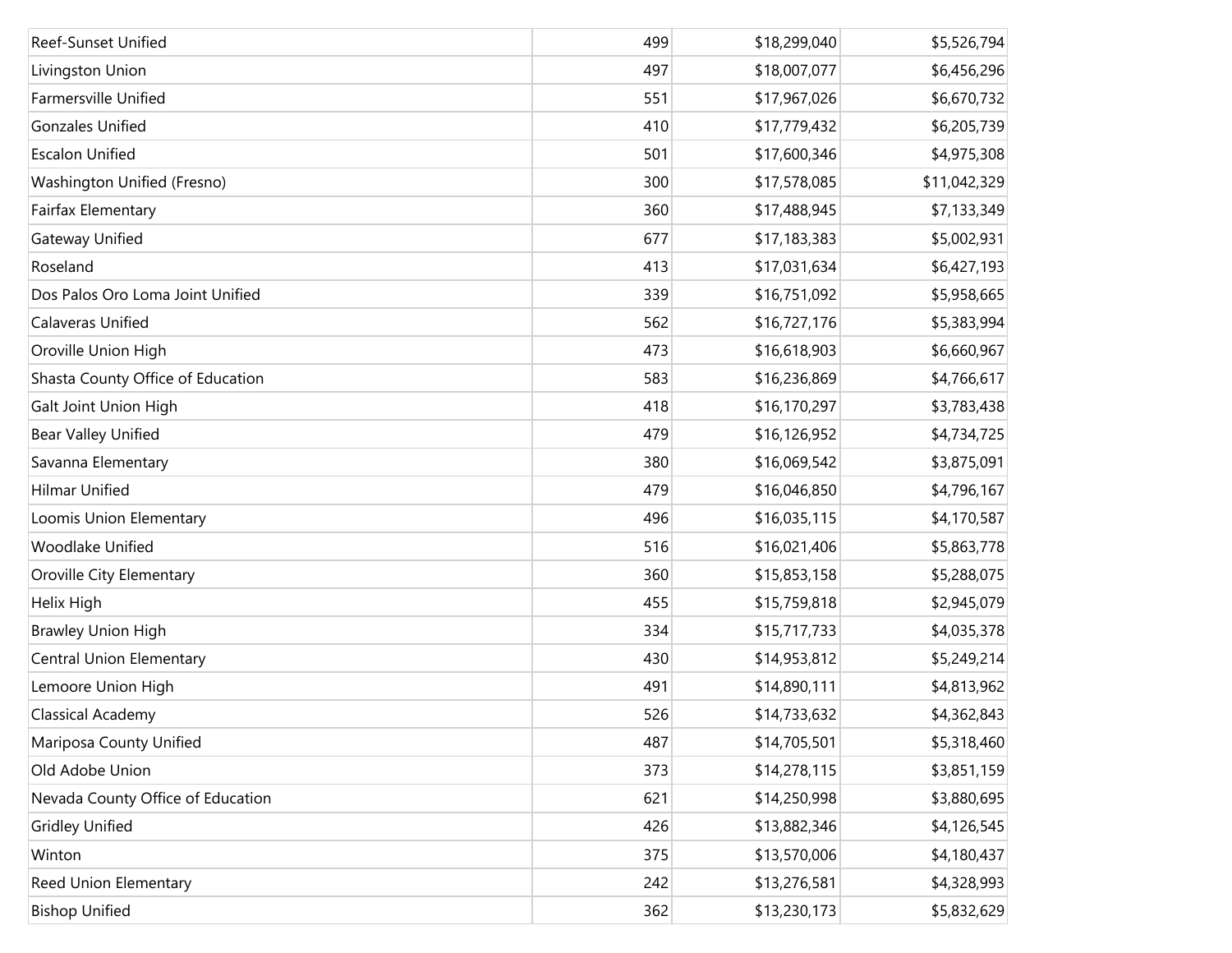| Reef-Sunset Unified               | 499 | \$18,299,040 | \$5,526,794  |
|-----------------------------------|-----|--------------|--------------|
| Livingston Union                  | 497 | \$18,007,077 | \$6,456,296  |
| Farmersville Unified              | 551 | \$17,967,026 | \$6,670,732  |
| <b>Gonzales Unified</b>           | 410 | \$17,779,432 | \$6,205,739  |
| <b>Escalon Unified</b>            | 501 | \$17,600,346 | \$4,975,308  |
| Washington Unified (Fresno)       | 300 | \$17,578,085 | \$11,042,329 |
| Fairfax Elementary                | 360 | \$17,488,945 | \$7,133,349  |
| Gateway Unified                   | 677 | \$17,183,383 | \$5,002,931  |
| Roseland                          | 413 | \$17,031,634 | \$6,427,193  |
| Dos Palos Oro Loma Joint Unified  | 339 | \$16,751,092 | \$5,958,665  |
| Calaveras Unified                 | 562 | \$16,727,176 | \$5,383,994  |
| Oroville Union High               | 473 | \$16,618,903 | \$6,660,967  |
| Shasta County Office of Education | 583 | \$16,236,869 | \$4,766,617  |
| Galt Joint Union High             | 418 | \$16,170,297 | \$3,783,438  |
| <b>Bear Valley Unified</b>        | 479 | \$16,126,952 | \$4,734,725  |
| Savanna Elementary                | 380 | \$16,069,542 | \$3,875,091  |
| <b>Hilmar Unified</b>             | 479 | \$16,046,850 | \$4,796,167  |
| Loomis Union Elementary           | 496 | \$16,035,115 | \$4,170,587  |
| Woodlake Unified                  | 516 | \$16,021,406 | \$5,863,778  |
| Oroville City Elementary          | 360 | \$15,853,158 | \$5,288,075  |
| Helix High                        | 455 | \$15,759,818 | \$2,945,079  |
| <b>Brawley Union High</b>         | 334 | \$15,717,733 | \$4,035,378  |
| <b>Central Union Elementary</b>   | 430 | \$14,953,812 | \$5,249,214  |
| Lemoore Union High                | 491 | \$14,890,111 | \$4,813,962  |
| Classical Academy                 | 526 | \$14,733,632 | \$4,362,843  |
| Mariposa County Unified           | 487 | \$14,705,501 | \$5,318,460  |
| Old Adobe Union                   | 373 | \$14,278,115 | \$3,851,159  |
| Nevada County Office of Education | 621 | \$14,250,998 | \$3,880,695  |
| <b>Gridley Unified</b>            | 426 | \$13,882,346 | \$4,126,545  |
| Winton                            | 375 | \$13,570,006 | \$4,180,437  |
| Reed Union Elementary             | 242 | \$13,276,581 | \$4,328,993  |
| <b>Bishop Unified</b>             | 362 | \$13,230,173 | \$5,832,629  |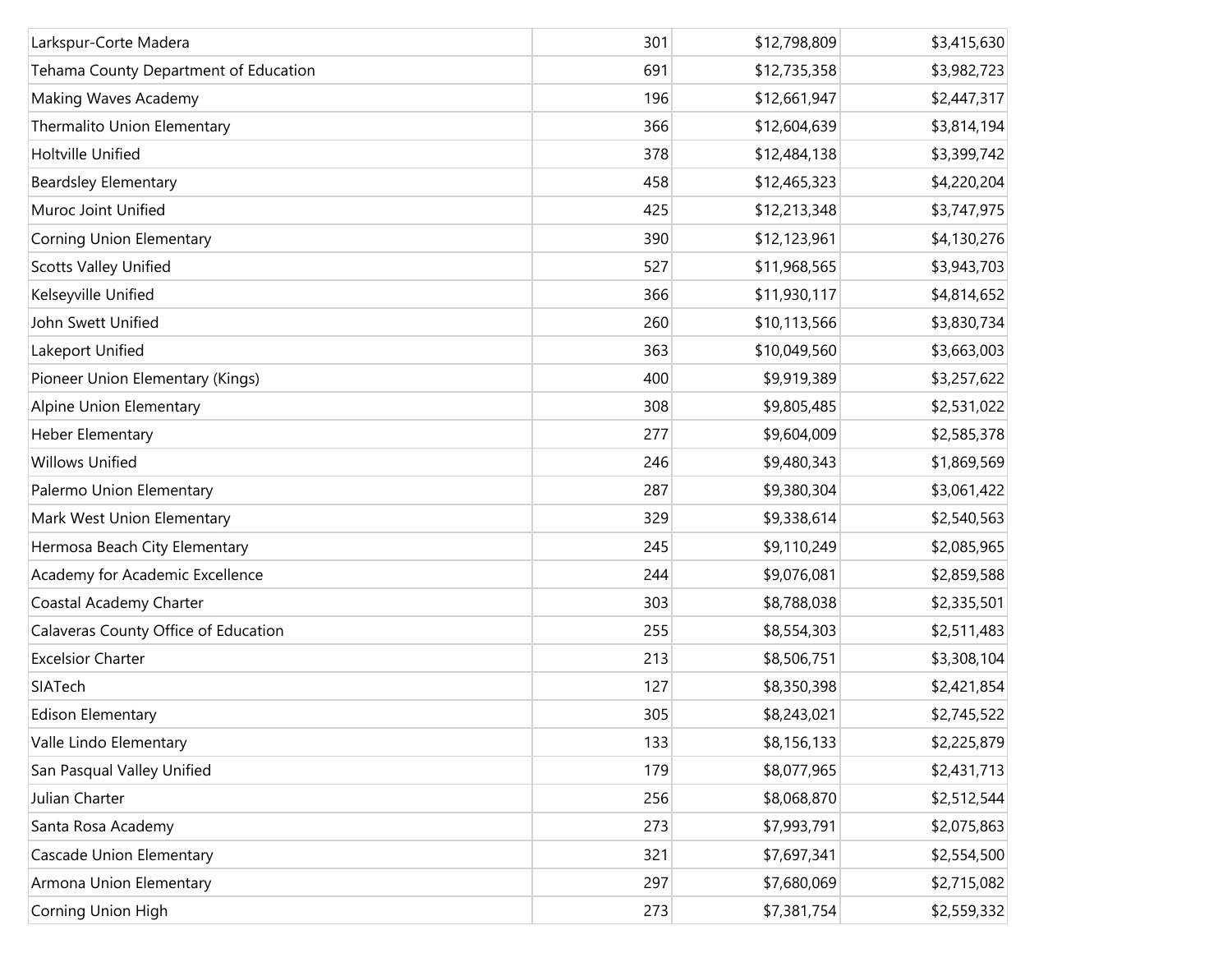| Larkspur-Corte Madera                 | 301 | \$12,798,809 | \$3,415,630 |
|---------------------------------------|-----|--------------|-------------|
| Tehama County Department of Education | 691 | \$12,735,358 | \$3,982,723 |
| Making Waves Academy                  | 196 | \$12,661,947 | \$2,447,317 |
| Thermalito Union Elementary           | 366 | \$12,604,639 | \$3,814,194 |
| Holtville Unified                     | 378 | \$12,484,138 | \$3,399,742 |
| <b>Beardsley Elementary</b>           | 458 | \$12,465,323 | \$4,220,204 |
| Muroc Joint Unified                   | 425 | \$12,213,348 | \$3,747,975 |
| Corning Union Elementary              | 390 | \$12,123,961 | \$4,130,276 |
| <b>Scotts Valley Unified</b>          | 527 | \$11,968,565 | \$3,943,703 |
| Kelseyville Unified                   | 366 | \$11,930,117 | \$4,814,652 |
| John Swett Unified                    | 260 | \$10,113,566 | \$3,830,734 |
| Lakeport Unified                      | 363 | \$10,049,560 | \$3,663,003 |
| Pioneer Union Elementary (Kings)      | 400 | \$9,919,389  | \$3,257,622 |
| Alpine Union Elementary               | 308 | \$9,805,485  | \$2,531,022 |
| Heber Elementary                      | 277 | \$9,604,009  | \$2,585,378 |
| <b>Willows Unified</b>                | 246 | \$9,480,343  | \$1,869,569 |
| Palermo Union Elementary              | 287 | \$9,380,304  | \$3,061,422 |
| Mark West Union Elementary            | 329 | \$9,338,614  | \$2,540,563 |
| Hermosa Beach City Elementary         | 245 | \$9,110,249  | \$2,085,965 |
| Academy for Academic Excellence       | 244 | \$9,076,081  | \$2,859,588 |
| Coastal Academy Charter               | 303 | \$8,788,038  | \$2,335,501 |
| Calaveras County Office of Education  | 255 | \$8,554,303  | \$2,511,483 |
| <b>Excelsior Charter</b>              | 213 | \$8,506,751  | \$3,308,104 |
| SIATech                               | 127 | \$8,350,398  | \$2,421,854 |
| <b>Edison Elementary</b>              | 305 | \$8,243,021  | \$2,745,522 |
| Valle Lindo Elementary                | 133 | \$8,156,133  | \$2,225,879 |
| San Pasqual Valley Unified            | 179 | \$8,077,965  | \$2,431,713 |
| Julian Charter                        | 256 | \$8,068,870  | \$2,512,544 |
| Santa Rosa Academy                    | 273 | \$7,993,791  | \$2,075,863 |
| <b>Cascade Union Elementary</b>       | 321 | \$7,697,341  | \$2,554,500 |
| Armona Union Elementary               | 297 | \$7,680,069  | \$2,715,082 |
| Corning Union High                    | 273 | \$7,381,754  | \$2,559,332 |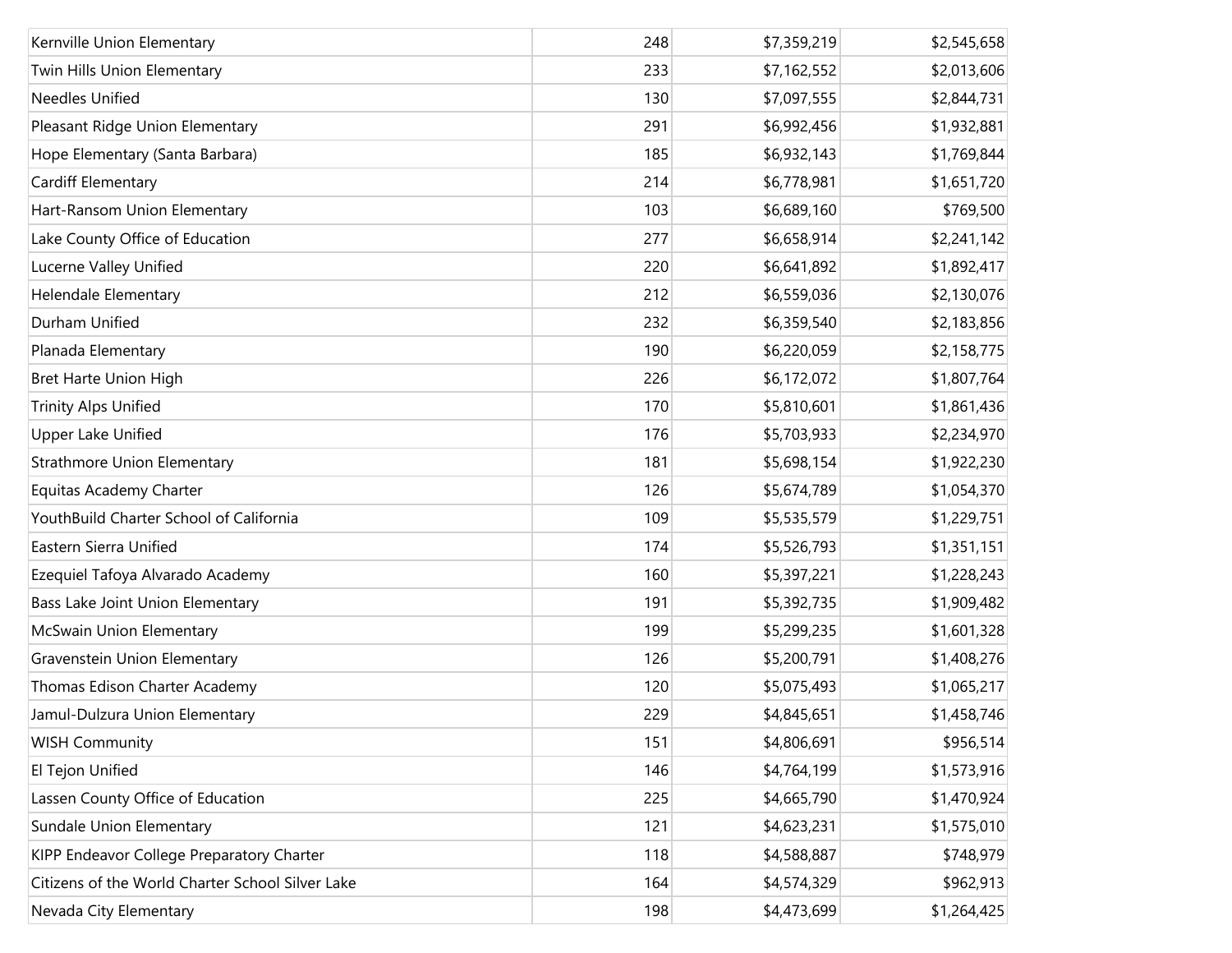| Kernville Union Elementary                       | 248 | \$7,359,219 | \$2,545,658 |
|--------------------------------------------------|-----|-------------|-------------|
| Twin Hills Union Elementary                      | 233 | \$7,162,552 | \$2,013,606 |
| Needles Unified                                  | 130 | \$7,097,555 | \$2,844,731 |
| Pleasant Ridge Union Elementary                  | 291 | \$6,992,456 | \$1,932,881 |
| Hope Elementary (Santa Barbara)                  | 185 | \$6,932,143 | \$1,769,844 |
| Cardiff Elementary                               | 214 | \$6,778,981 | \$1,651,720 |
| Hart-Ransom Union Elementary                     | 103 | \$6,689,160 | \$769,500   |
| Lake County Office of Education                  | 277 | \$6,658,914 | \$2,241,142 |
| Lucerne Valley Unified                           | 220 | \$6,641,892 | \$1,892,417 |
| Helendale Elementary                             | 212 | \$6,559,036 | \$2,130,076 |
| Durham Unified                                   | 232 | \$6,359,540 | \$2,183,856 |
| Planada Elementary                               | 190 | \$6,220,059 | \$2,158,775 |
| Bret Harte Union High                            | 226 | \$6,172,072 | \$1,807,764 |
| <b>Trinity Alps Unified</b>                      | 170 | \$5,810,601 | \$1,861,436 |
| <b>Upper Lake Unified</b>                        | 176 | \$5,703,933 | \$2,234,970 |
| Strathmore Union Elementary                      | 181 | \$5,698,154 | \$1,922,230 |
| Equitas Academy Charter                          | 126 | \$5,674,789 | \$1,054,370 |
| YouthBuild Charter School of California          | 109 | \$5,535,579 | \$1,229,751 |
| Eastern Sierra Unified                           | 174 | \$5,526,793 | \$1,351,151 |
| Ezequiel Tafoya Alvarado Academy                 | 160 | \$5,397,221 | \$1,228,243 |
| Bass Lake Joint Union Elementary                 | 191 | \$5,392,735 | \$1,909,482 |
| McSwain Union Elementary                         | 199 | \$5,299,235 | \$1,601,328 |
| Gravenstein Union Elementary                     | 126 | \$5,200,791 | \$1,408,276 |
| Thomas Edison Charter Academy                    | 120 | \$5,075,493 | \$1,065,217 |
| Jamul-Dulzura Union Elementary                   | 229 | \$4,845,651 | \$1,458,746 |
| <b>WISH Community</b>                            | 151 | \$4,806,691 | \$956,514   |
| El Tejon Unified                                 | 146 | \$4,764,199 | \$1,573,916 |
| Lassen County Office of Education                | 225 | \$4,665,790 | \$1,470,924 |
| Sundale Union Elementary                         | 121 | \$4,623,231 | \$1,575,010 |
| KIPP Endeavor College Preparatory Charter        | 118 | \$4,588,887 | \$748,979   |
| Citizens of the World Charter School Silver Lake | 164 | \$4,574,329 | \$962,913   |
| Nevada City Elementary                           | 198 | \$4,473,699 | \$1,264,425 |
|                                                  |     |             |             |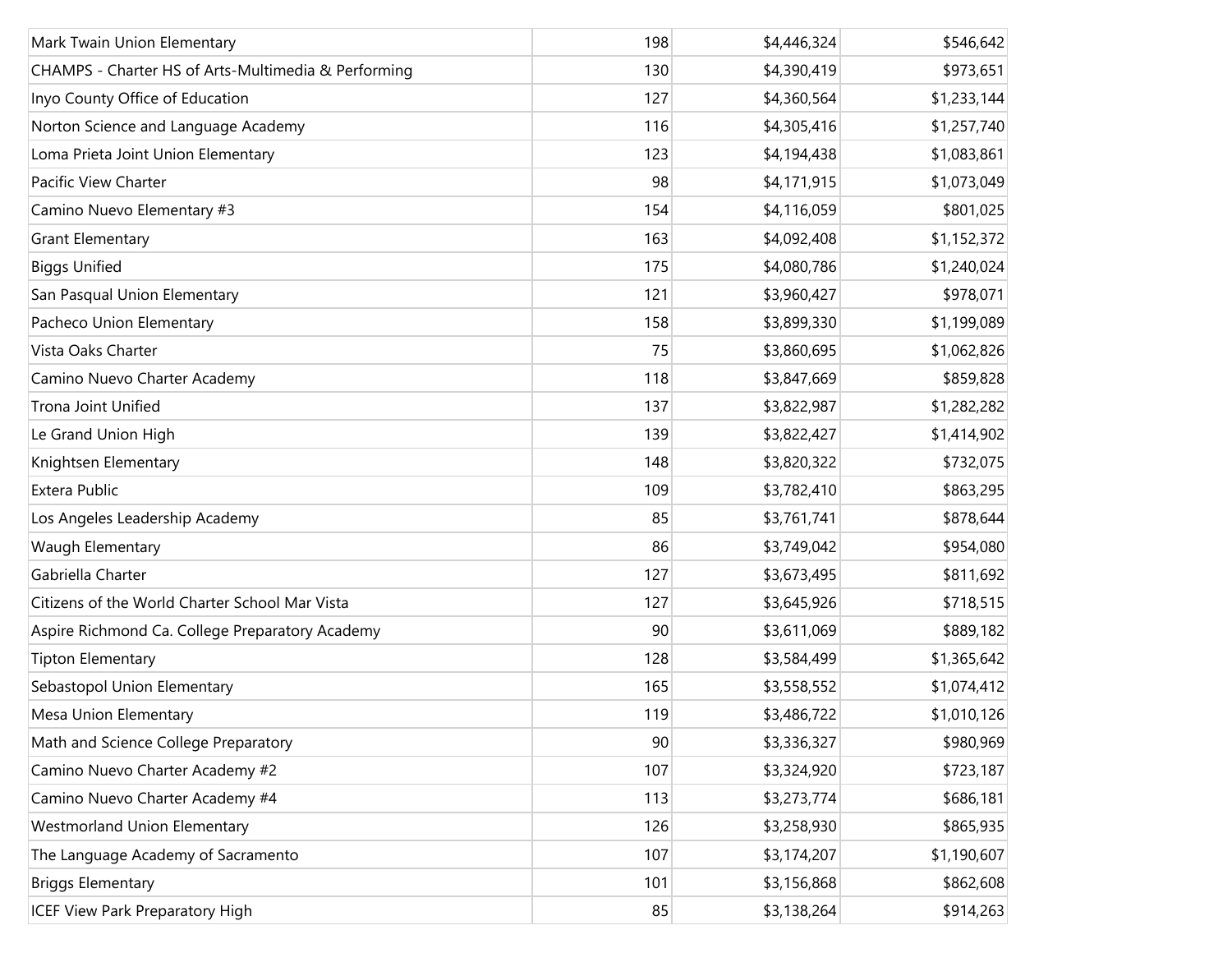| Mark Twain Union Elementary                         | 198 | \$4,446,324 | \$546,642   |
|-----------------------------------------------------|-----|-------------|-------------|
| CHAMPS - Charter HS of Arts-Multimedia & Performing | 130 | \$4,390,419 | \$973,651   |
| Inyo County Office of Education                     | 127 | \$4,360,564 | \$1,233,144 |
| Norton Science and Language Academy                 | 116 | \$4,305,416 | \$1,257,740 |
| Loma Prieta Joint Union Elementary                  | 123 | \$4,194,438 | \$1,083,861 |
| Pacific View Charter                                | 98  | \$4,171,915 | \$1,073,049 |
| Camino Nuevo Elementary #3                          | 154 | \$4,116,059 | \$801,025   |
| <b>Grant Elementary</b>                             | 163 | \$4,092,408 | \$1,152,372 |
| <b>Biggs Unified</b>                                | 175 | \$4,080,786 | \$1,240,024 |
| San Pasqual Union Elementary                        | 121 | \$3,960,427 | \$978,071   |
| Pacheco Union Elementary                            | 158 | \$3,899,330 | \$1,199,089 |
| Vista Oaks Charter                                  | 75  | \$3,860,695 | \$1,062,826 |
| Camino Nuevo Charter Academy                        | 118 | \$3,847,669 | \$859,828   |
| Trona Joint Unified                                 | 137 | \$3,822,987 | \$1,282,282 |
| Le Grand Union High                                 | 139 | \$3,822,427 | \$1,414,902 |
| Knightsen Elementary                                | 148 | \$3,820,322 | \$732,075   |
| Extera Public                                       | 109 | \$3,782,410 | \$863,295   |
| Los Angeles Leadership Academy                      | 85  | \$3,761,741 | \$878,644   |
| Waugh Elementary                                    | 86  | \$3,749,042 | \$954,080   |
| Gabriella Charter                                   | 127 | \$3,673,495 | \$811,692   |
| Citizens of the World Charter School Mar Vista      | 127 | \$3,645,926 | \$718,515   |
| Aspire Richmond Ca. College Preparatory Academy     | 90  | \$3,611,069 | \$889,182   |
| <b>Tipton Elementary</b>                            | 128 | \$3,584,499 | \$1,365,642 |
| Sebastopol Union Elementary                         | 165 | \$3,558,552 | \$1,074,412 |
| Mesa Union Elementary                               | 119 | \$3,486,722 | \$1,010,126 |
| Math and Science College Preparatory                | 90  | \$3,336,327 | \$980,969   |
| Camino Nuevo Charter Academy #2                     | 107 | \$3,324,920 | \$723,187   |
| Camino Nuevo Charter Academy #4                     | 113 | \$3,273,774 | \$686,181   |
| <b>Westmorland Union Elementary</b>                 | 126 | \$3,258,930 | \$865,935   |
| The Language Academy of Sacramento                  | 107 | \$3,174,207 | \$1,190,607 |
| <b>Briggs Elementary</b>                            | 101 | \$3,156,868 | \$862,608   |
| <b>ICEF View Park Preparatory High</b>              | 85  | \$3,138,264 | \$914,263   |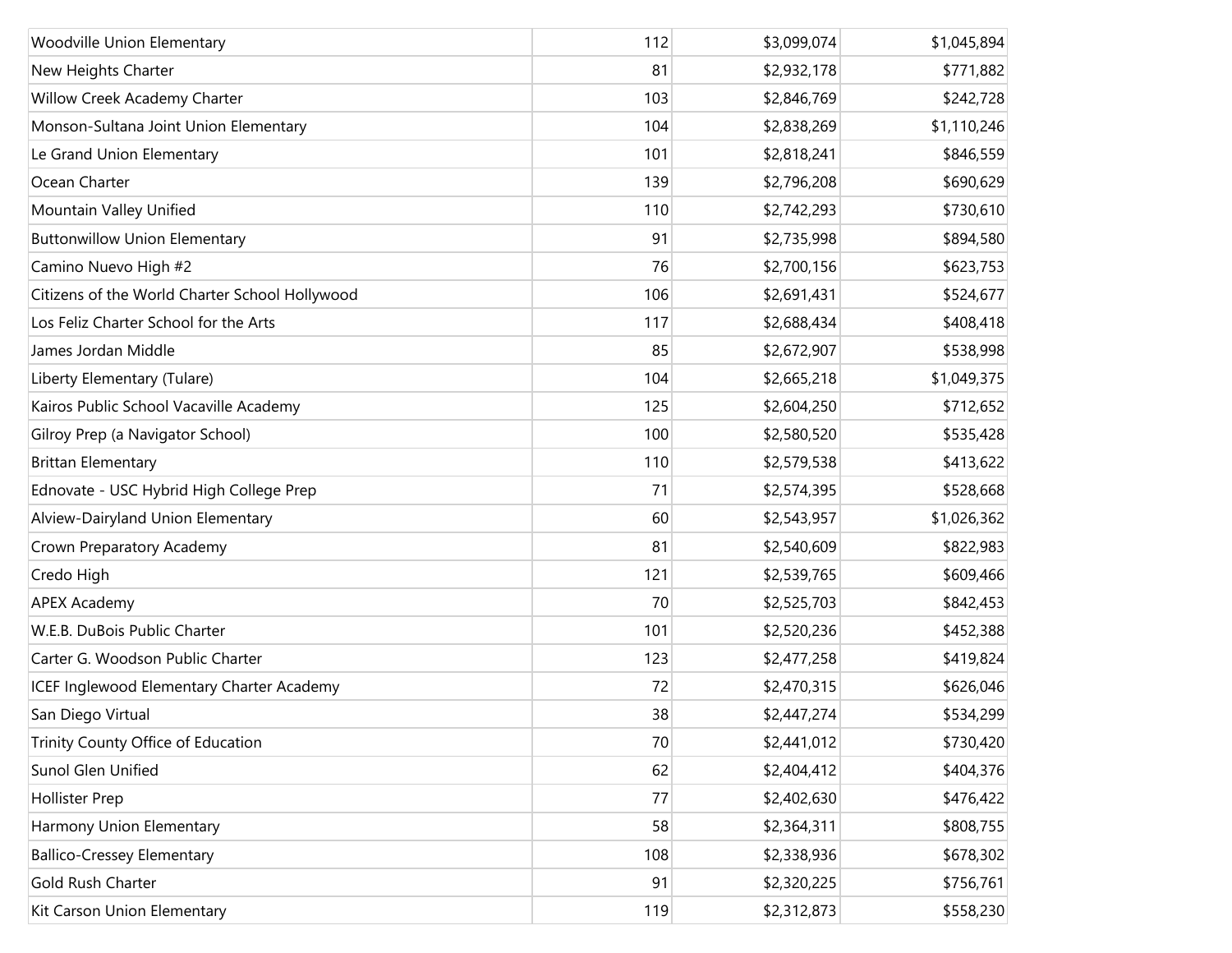| Woodville Union Elementary                     | 112 | \$3,099,074 | \$1,045,894 |
|------------------------------------------------|-----|-------------|-------------|
| New Heights Charter                            | 81  | \$2,932,178 | \$771,882   |
| Willow Creek Academy Charter                   | 103 | \$2,846,769 | \$242,728   |
| Monson-Sultana Joint Union Elementary          | 104 | \$2,838,269 | \$1,110,246 |
| Le Grand Union Elementary                      | 101 | \$2,818,241 | \$846,559   |
| Ocean Charter                                  | 139 | \$2,796,208 | \$690,629   |
| Mountain Valley Unified                        | 110 | \$2,742,293 | \$730,610   |
| <b>Buttonwillow Union Elementary</b>           | 91  | \$2,735,998 | \$894,580   |
| Camino Nuevo High #2                           | 76  | \$2,700,156 | \$623,753   |
| Citizens of the World Charter School Hollywood | 106 | \$2,691,431 | \$524,677   |
| Los Feliz Charter School for the Arts          | 117 | \$2,688,434 | \$408,418   |
| James Jordan Middle                            | 85  | \$2,672,907 | \$538,998   |
| Liberty Elementary (Tulare)                    | 104 | \$2,665,218 | \$1,049,375 |
| Kairos Public School Vacaville Academy         | 125 | \$2,604,250 | \$712,652   |
| Gilroy Prep (a Navigator School)               | 100 | \$2,580,520 | \$535,428   |
| <b>Brittan Elementary</b>                      | 110 | \$2,579,538 | \$413,622   |
| Ednovate - USC Hybrid High College Prep        | 71  | \$2,574,395 | \$528,668   |
| Alview-Dairyland Union Elementary              | 60  | \$2,543,957 | \$1,026,362 |
| Crown Preparatory Academy                      | 81  | \$2,540,609 | \$822,983   |
| Credo High                                     | 121 | \$2,539,765 | \$609,466   |
| <b>APEX Academy</b>                            | 70  | \$2,525,703 | \$842,453   |
| W.E.B. DuBois Public Charter                   | 101 | \$2,520,236 | \$452,388   |
| Carter G. Woodson Public Charter               | 123 | \$2,477,258 | \$419,824   |
| ICEF Inglewood Elementary Charter Academy      | 72  | \$2,470,315 | \$626,046   |
| San Diego Virtual                              | 38  | \$2,447,274 | \$534,299   |
| Trinity County Office of Education             | 70  | \$2,441,012 | \$730,420   |
| Sunol Glen Unified                             | 62  | \$2,404,412 | \$404,376   |
| <b>Hollister Prep</b>                          | 77  | \$2,402,630 | \$476,422   |
| Harmony Union Elementary                       | 58  | \$2,364,311 | \$808,755   |
| <b>Ballico-Cressey Elementary</b>              | 108 | \$2,338,936 | \$678,302   |
| Gold Rush Charter                              | 91  | \$2,320,225 | \$756,761   |
| Kit Carson Union Elementary                    | 119 | \$2,312,873 | \$558,230   |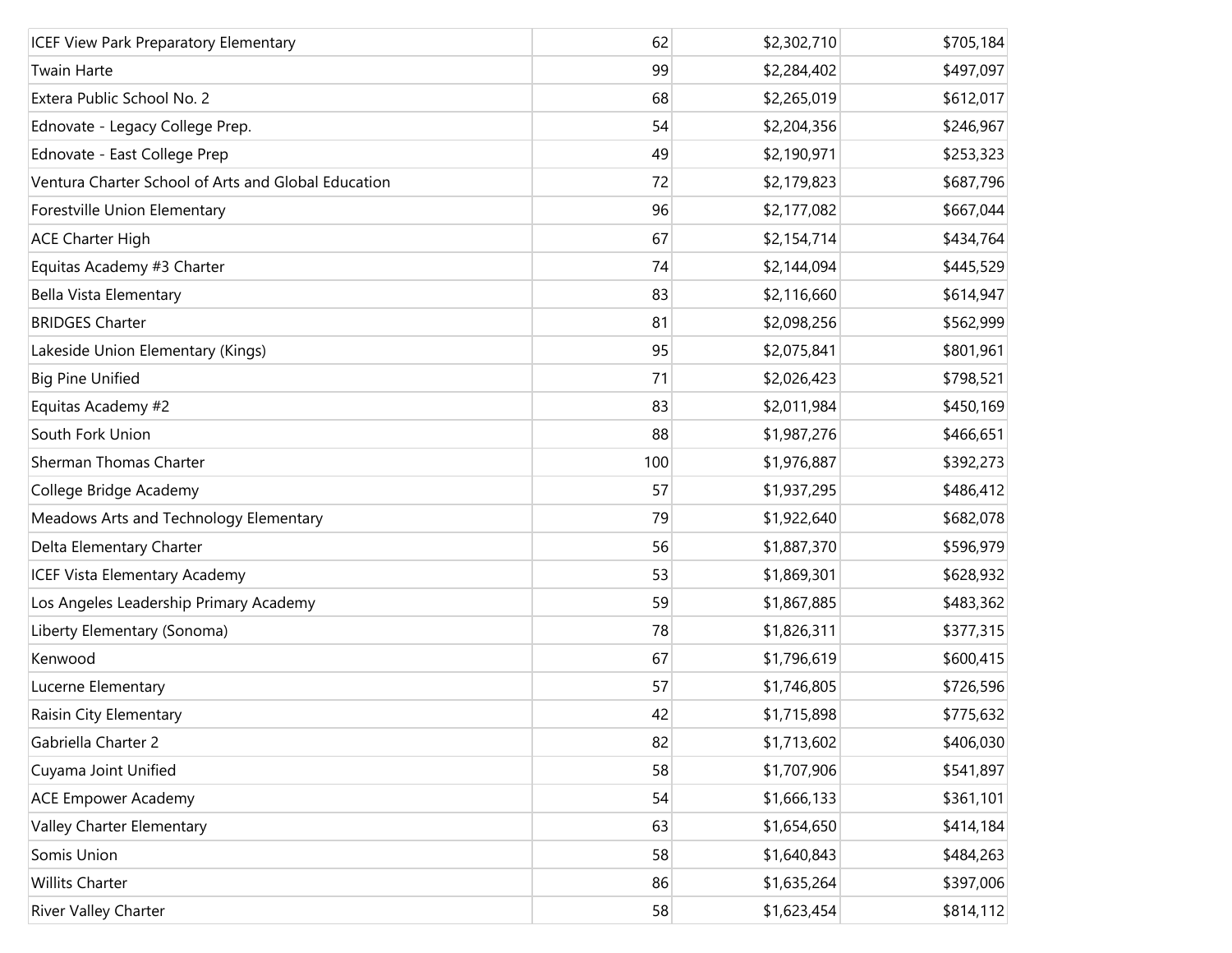| <b>ICEF View Park Preparatory Elementary</b>        | 62  | \$2,302,710 | \$705,184 |
|-----------------------------------------------------|-----|-------------|-----------|
| <b>Twain Harte</b>                                  | 99  | \$2,284,402 | \$497,097 |
| Extera Public School No. 2                          | 68  | \$2,265,019 | \$612,017 |
| Ednovate - Legacy College Prep.                     | 54  | \$2,204,356 | \$246,967 |
| Ednovate - East College Prep                        | 49  | \$2,190,971 | \$253,323 |
| Ventura Charter School of Arts and Global Education | 72  | \$2,179,823 | \$687,796 |
| Forestville Union Elementary                        | 96  | \$2,177,082 | \$667,044 |
| <b>ACE Charter High</b>                             | 67  | \$2,154,714 | \$434,764 |
| Equitas Academy #3 Charter                          | 74  | \$2,144,094 | \$445,529 |
| Bella Vista Elementary                              | 83  | \$2,116,660 | \$614,947 |
| <b>BRIDGES Charter</b>                              | 81  | \$2,098,256 | \$562,999 |
| Lakeside Union Elementary (Kings)                   | 95  | \$2,075,841 | \$801,961 |
| <b>Big Pine Unified</b>                             | 71  | \$2,026,423 | \$798,521 |
| Equitas Academy #2                                  | 83  | \$2,011,984 | \$450,169 |
| South Fork Union                                    | 88  | \$1,987,276 | \$466,651 |
| Sherman Thomas Charter                              | 100 | \$1,976,887 | \$392,273 |
| College Bridge Academy                              | 57  | \$1,937,295 | \$486,412 |
| Meadows Arts and Technology Elementary              | 79  | \$1,922,640 | \$682,078 |
| Delta Elementary Charter                            | 56  | \$1,887,370 | \$596,979 |
| <b>ICEF Vista Elementary Academy</b>                | 53  | \$1,869,301 | \$628,932 |
| Los Angeles Leadership Primary Academy              | 59  | \$1,867,885 | \$483,362 |
| Liberty Elementary (Sonoma)                         | 78  | \$1,826,311 | \$377,315 |
| Kenwood                                             | 67  | \$1,796,619 | \$600,415 |
| Lucerne Elementary                                  | 57  | \$1,746,805 | \$726,596 |
| Raisin City Elementary                              | 42  | \$1,715,898 | \$775,632 |
| Gabriella Charter 2                                 | 82  | \$1,713,602 | \$406,030 |
| Cuyama Joint Unified                                | 58  | \$1,707,906 | \$541,897 |
| <b>ACE Empower Academy</b>                          | 54  | \$1,666,133 | \$361,101 |
| Valley Charter Elementary                           | 63  | \$1,654,650 | \$414,184 |
| Somis Union                                         | 58  | \$1,640,843 | \$484,263 |
| <b>Willits Charter</b>                              | 86  | \$1,635,264 | \$397,006 |
| River Valley Charter                                | 58  | \$1,623,454 | \$814,112 |
|                                                     |     |             |           |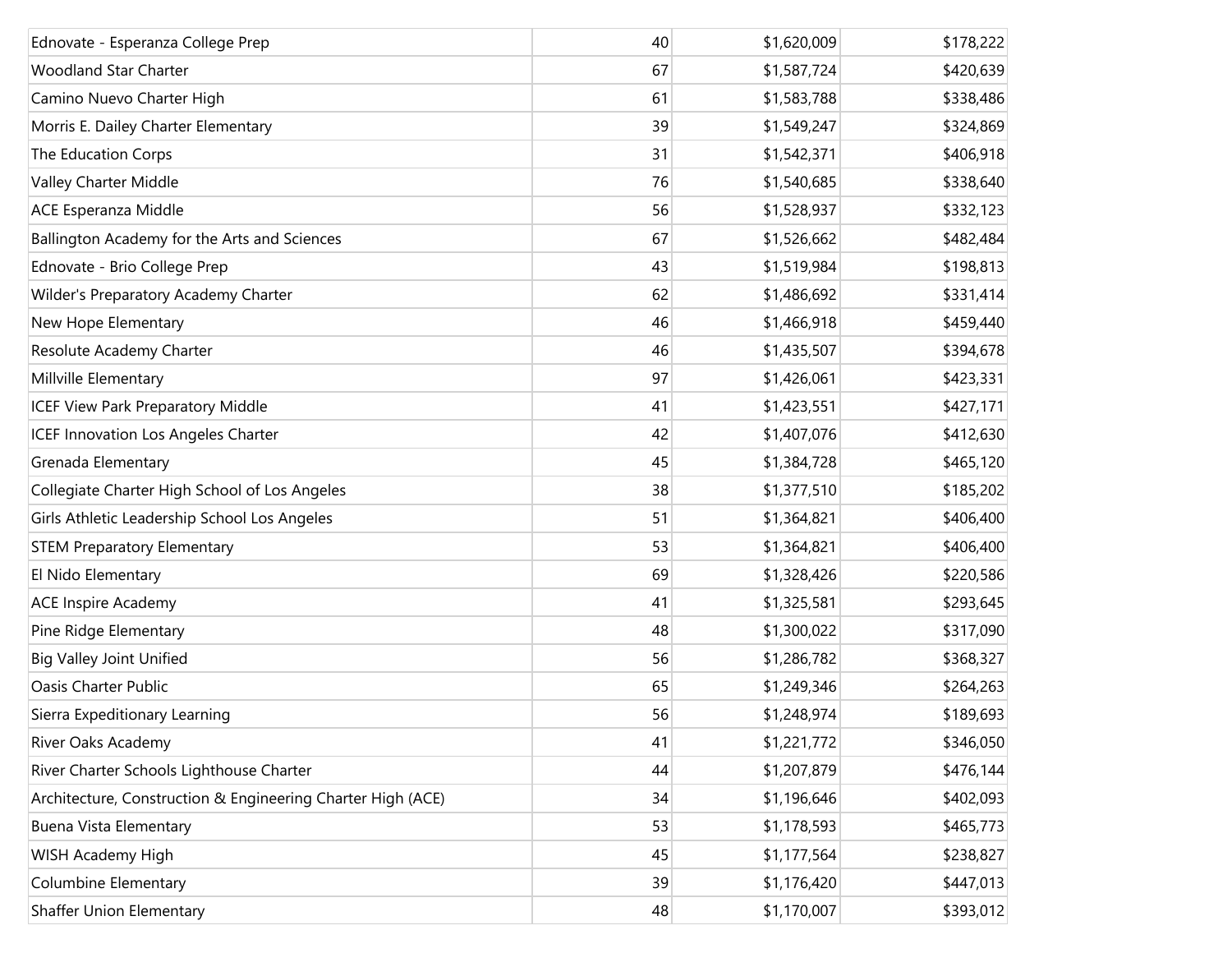| Ednovate - Esperanza College Prep                           | 40 | \$1,620,009 | \$178,222 |
|-------------------------------------------------------------|----|-------------|-----------|
| <b>Woodland Star Charter</b>                                | 67 | \$1,587,724 | \$420,639 |
| Camino Nuevo Charter High                                   | 61 | \$1,583,788 | \$338,486 |
| Morris E. Dailey Charter Elementary                         | 39 | \$1,549,247 | \$324,869 |
| The Education Corps                                         | 31 | \$1,542,371 | \$406,918 |
| Valley Charter Middle                                       | 76 | \$1,540,685 | \$338,640 |
| ACE Esperanza Middle                                        | 56 | \$1,528,937 | \$332,123 |
| Ballington Academy for the Arts and Sciences                | 67 | \$1,526,662 | \$482,484 |
| Ednovate - Brio College Prep                                | 43 | \$1,519,984 | \$198,813 |
| Wilder's Preparatory Academy Charter                        | 62 | \$1,486,692 | \$331,414 |
| New Hope Elementary                                         | 46 | \$1,466,918 | \$459,440 |
| Resolute Academy Charter                                    | 46 | \$1,435,507 | \$394,678 |
| Millville Elementary                                        | 97 | \$1,426,061 | \$423,331 |
| <b>ICEF View Park Preparatory Middle</b>                    | 41 | \$1,423,551 | \$427,171 |
| ICEF Innovation Los Angeles Charter                         | 42 | \$1,407,076 | \$412,630 |
| Grenada Elementary                                          | 45 | \$1,384,728 | \$465,120 |
| Collegiate Charter High School of Los Angeles               | 38 | \$1,377,510 | \$185,202 |
| Girls Athletic Leadership School Los Angeles                | 51 | \$1,364,821 | \$406,400 |
| <b>STEM Preparatory Elementary</b>                          | 53 | \$1,364,821 | \$406,400 |
| El Nido Elementary                                          | 69 | \$1,328,426 | \$220,586 |
| <b>ACE Inspire Academy</b>                                  | 41 | \$1,325,581 | \$293,645 |
| Pine Ridge Elementary                                       | 48 | \$1,300,022 | \$317,090 |
| <b>Big Valley Joint Unified</b>                             | 56 | \$1,286,782 | \$368,327 |
| <b>Oasis Charter Public</b>                                 | 65 | \$1,249,346 | \$264,263 |
| Sierra Expeditionary Learning                               | 56 | \$1,248,974 | \$189,693 |
| River Oaks Academy                                          | 41 | \$1,221,772 | \$346,050 |
| River Charter Schools Lighthouse Charter                    | 44 | \$1,207,879 | \$476,144 |
| Architecture, Construction & Engineering Charter High (ACE) | 34 | \$1,196,646 | \$402,093 |
| Buena Vista Elementary                                      | 53 | \$1,178,593 | \$465,773 |
| WISH Academy High                                           | 45 | \$1,177,564 | \$238,827 |
| <b>Columbine Elementary</b>                                 | 39 | \$1,176,420 | \$447,013 |
| <b>Shaffer Union Elementary</b>                             | 48 | \$1,170,007 | \$393,012 |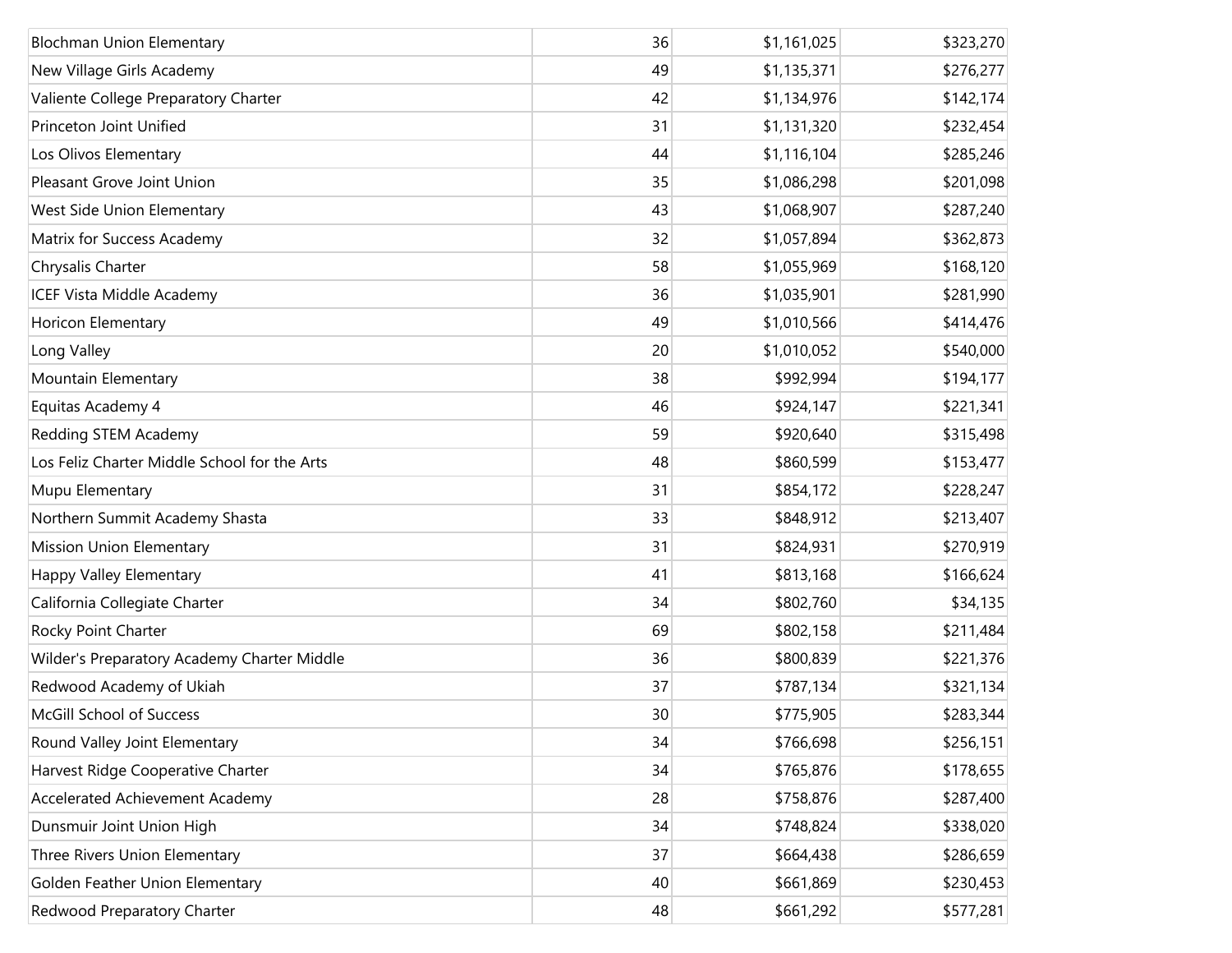| <b>Blochman Union Elementary</b>             | 36 | \$1,161,025 | \$323,270 |
|----------------------------------------------|----|-------------|-----------|
| New Village Girls Academy                    | 49 | \$1,135,371 | \$276,277 |
| Valiente College Preparatory Charter         | 42 | \$1,134,976 | \$142,174 |
| Princeton Joint Unified                      | 31 | \$1,131,320 | \$232,454 |
| Los Olivos Elementary                        | 44 | \$1,116,104 | \$285,246 |
| Pleasant Grove Joint Union                   | 35 | \$1,086,298 | \$201,098 |
| West Side Union Elementary                   | 43 | \$1,068,907 | \$287,240 |
| Matrix for Success Academy                   | 32 | \$1,057,894 | \$362,873 |
| Chrysalis Charter                            | 58 | \$1,055,969 | \$168,120 |
| <b>ICEF Vista Middle Academy</b>             | 36 | \$1,035,901 | \$281,990 |
| Horicon Elementary                           | 49 | \$1,010,566 | \$414,476 |
| Long Valley                                  | 20 | \$1,010,052 | \$540,000 |
| Mountain Elementary                          | 38 | \$992,994   | \$194,177 |
| Equitas Academy 4                            | 46 | \$924,147   | \$221,341 |
| Redding STEM Academy                         | 59 | \$920,640   | \$315,498 |
| Los Feliz Charter Middle School for the Arts | 48 | \$860,599   | \$153,477 |
| Mupu Elementary                              | 31 | \$854,172   | \$228,247 |
| Northern Summit Academy Shasta               | 33 | \$848,912   | \$213,407 |
| <b>Mission Union Elementary</b>              | 31 | \$824,931   | \$270,919 |
| Happy Valley Elementary                      | 41 | \$813,168   | \$166,624 |
| California Collegiate Charter                | 34 | \$802,760   | \$34,135  |
| Rocky Point Charter                          | 69 | \$802,158   | \$211,484 |
| Wilder's Preparatory Academy Charter Middle  | 36 | \$800,839   | \$221,376 |
| Redwood Academy of Ukiah                     | 37 | \$787,134   | \$321,134 |
| McGill School of Success                     | 30 | \$775,905   | \$283,344 |
| Round Valley Joint Elementary                | 34 | \$766,698   | \$256,151 |
| Harvest Ridge Cooperative Charter            | 34 | \$765,876   | \$178,655 |
| Accelerated Achievement Academy              | 28 | \$758,876   | \$287,400 |
| Dunsmuir Joint Union High                    | 34 | \$748,824   | \$338,020 |
| Three Rivers Union Elementary                | 37 | \$664,438   | \$286,659 |
| Golden Feather Union Elementary              | 40 | \$661,869   | \$230,453 |
| Redwood Preparatory Charter                  | 48 | \$661,292   | \$577,281 |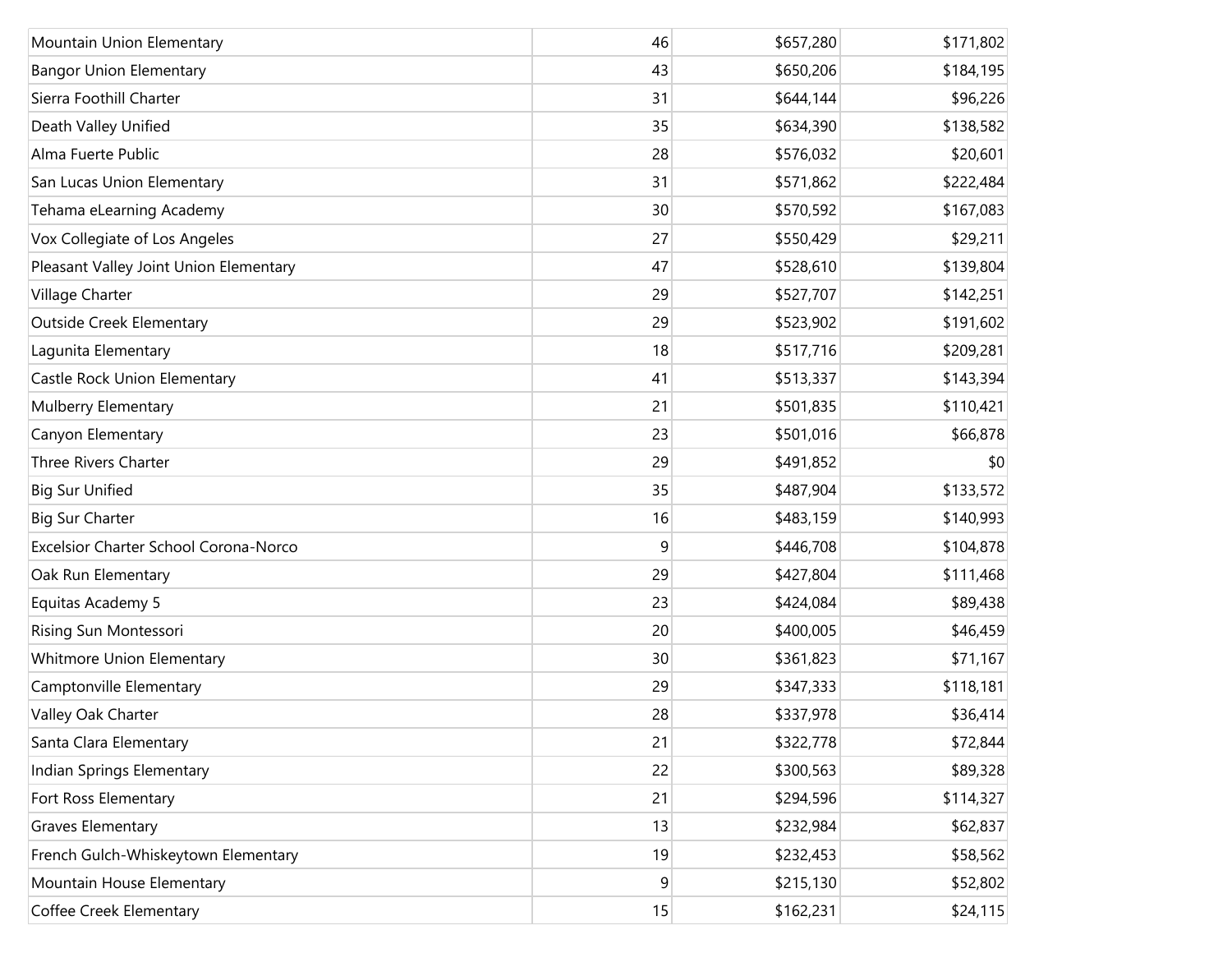| Mountain Union Elementary              | 46 | \$657,280 | \$171,802 |
|----------------------------------------|----|-----------|-----------|
| <b>Bangor Union Elementary</b>         | 43 | \$650,206 | \$184,195 |
| Sierra Foothill Charter                | 31 | \$644,144 | \$96,226  |
| Death Valley Unified                   | 35 | \$634,390 | \$138,582 |
| Alma Fuerte Public                     | 28 | \$576,032 | \$20,601  |
| San Lucas Union Elementary             | 31 | \$571,862 | \$222,484 |
| Tehama eLearning Academy               | 30 | \$570,592 | \$167,083 |
| Vox Collegiate of Los Angeles          | 27 | \$550,429 | \$29,211  |
| Pleasant Valley Joint Union Elementary | 47 | \$528,610 | \$139,804 |
| Village Charter                        | 29 | \$527,707 | \$142,251 |
| <b>Outside Creek Elementary</b>        | 29 | \$523,902 | \$191,602 |
| Lagunita Elementary                    | 18 | \$517,716 | \$209,281 |
| Castle Rock Union Elementary           | 41 | \$513,337 | \$143,394 |
| Mulberry Elementary                    | 21 | \$501,835 | \$110,421 |
| Canyon Elementary                      | 23 | \$501,016 | \$66,878  |
| Three Rivers Charter                   | 29 | \$491,852 | \$0       |
| <b>Big Sur Unified</b>                 | 35 | \$487,904 | \$133,572 |
| <b>Big Sur Charter</b>                 | 16 | \$483,159 | \$140,993 |
| Excelsior Charter School Corona-Norco  | 9  | \$446,708 | \$104,878 |
| Oak Run Elementary                     | 29 | \$427,804 | \$111,468 |
| Equitas Academy 5                      | 23 | \$424,084 | \$89,438  |
| Rising Sun Montessori                  | 20 | \$400,005 | \$46,459  |
| Whitmore Union Elementary              | 30 | \$361,823 | \$71,167  |
| Camptonville Elementary                | 29 | \$347,333 | \$118,181 |
| Valley Oak Charter                     | 28 | \$337,978 | \$36,414  |
| Santa Clara Elementary                 | 21 | \$322,778 | \$72,844  |
| Indian Springs Elementary              | 22 | \$300,563 | \$89,328  |
| Fort Ross Elementary                   | 21 | \$294,596 | \$114,327 |
| <b>Graves Elementary</b>               | 13 | \$232,984 | \$62,837  |
| French Gulch-Whiskeytown Elementary    | 19 | \$232,453 | \$58,562  |
| Mountain House Elementary              | 9  | \$215,130 | \$52,802  |
| Coffee Creek Elementary                | 15 | \$162,231 | \$24,115  |